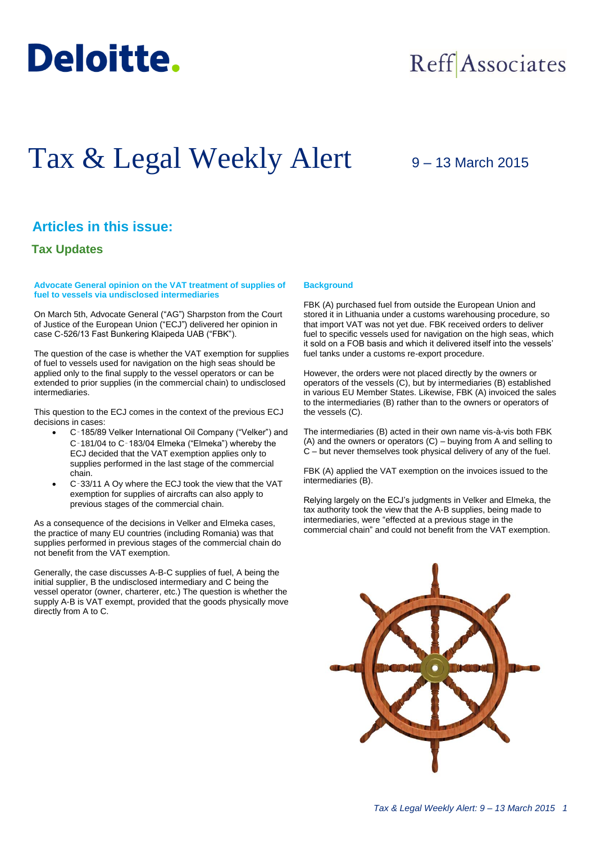

# Reff Associates

# Tax & Legal Weekly Alert

# 9 – 13 March 2015

# **Articles in this issue:**

## **Tax Updates**

**Advocate General opinion on the VAT treatment of supplies of fuel to vessels via undisclosed intermediaries**

On March 5th, Advocate General ("AG") Sharpston from the Court of Justice of the European Union ("ECJ") delivered her opinion in case C-526/13 Fast Bunkering Klaipeda UAB ("FBK").

The question of the case is whether the VAT exemption for supplies of fuel to vessels used for navigation on the high seas should be applied only to the final supply to the vessel operators or can be extended to prior supplies (in the commercial chain) to undisclosed intermediaries.

This question to the ECJ comes in the context of the previous ECJ decisions in cases:

- C‑185/89 Velker International Oil Company ("Velker") and C‑181/04 to C‑183/04 Elmeka ("Elmeka") whereby the ECJ decided that the VAT exemption applies only to supplies performed in the last stage of the commercial chain.
- C‑33/11 A Oy where the ECJ took the view that the VAT exemption for supplies of aircrafts can also apply to previous stages of the commercial chain.

As a consequence of the decisions in Velker and Elmeka cases, the practice of many EU countries (including Romania) was that supplies performed in previous stages of the commercial chain do not benefit from the VAT exemption.

Generally, the case discusses A-B-C supplies of fuel, A being the initial supplier, B the undisclosed intermediary and C being the vessel operator (owner, charterer, etc.) The question is whether the supply A-B is VAT exempt, provided that the goods physically move directly from A to C.

## **Background**

FBK (A) purchased fuel from outside the European Union and stored it in Lithuania under a customs warehousing procedure, so that import VAT was not yet due. FBK received orders to deliver fuel to specific vessels used for navigation on the high seas, which it sold on a FOB basis and which it delivered itself into the vessels' fuel tanks under a customs re-export procedure.

However, the orders were not placed directly by the owners or operators of the vessels (C), but by intermediaries (B) established in various EU Member States. Likewise, FBK (A) invoiced the sales to the intermediaries (B) rather than to the owners or operators of the vessels (C).

The intermediaries (B) acted in their own name vis-à-vis both FBK (A) and the owners or operators (C) – buying from A and selling to C – but never themselves took physical delivery of any of the fuel.

FBK (A) applied the VAT exemption on the invoices issued to the intermediaries (B).

Relying largely on the ECJ's judgments in Velker and Elmeka, the tax authority took the view that the A-B supplies, being made to intermediaries, were "effected at a previous stage in the commercial chain" and could not benefit from the VAT exemption.

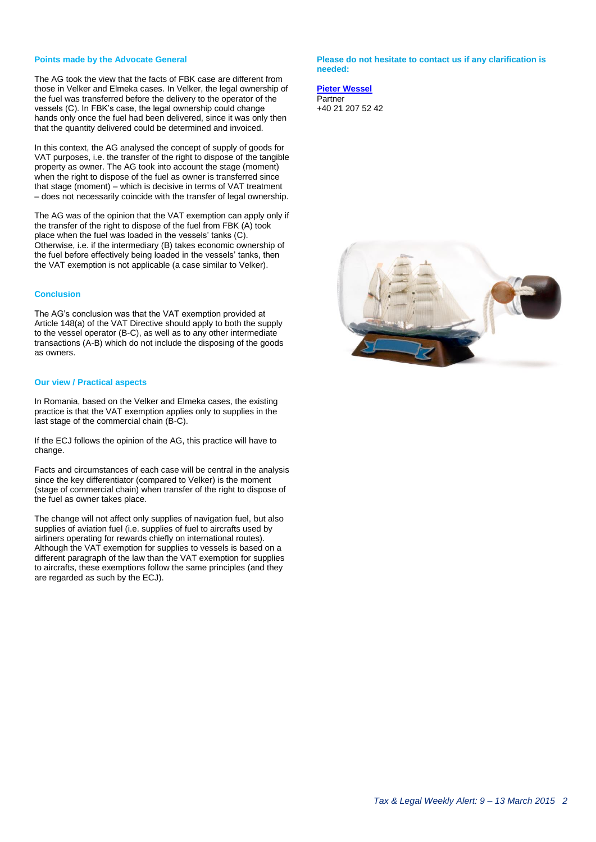### **Points made by the Advocate General**

The AG took the view that the facts of FBK case are different from those in Velker and Elmeka cases. In Velker, the legal ownership of the fuel was transferred before the delivery to the operator of the vessels (C). In FBK's case, the legal ownership could change hands only once the fuel had been delivered, since it was only then that the quantity delivered could be determined and invoiced.

In this context, the AG analysed the concept of supply of goods for VAT purposes, i.e. the transfer of the right to dispose of the tangible property as owner. The AG took into account the stage (moment) when the right to dispose of the fuel as owner is transferred since that stage (moment) – which is decisive in terms of VAT treatment – does not necessarily coincide with the transfer of legal ownership.

The AG was of the opinion that the VAT exemption can apply only if the transfer of the right to dispose of the fuel from FBK (A) took place when the fuel was loaded in the vessels' tanks (C). Otherwise, i.e. if the intermediary (B) takes economic ownership of the fuel before effectively being loaded in the vessels' tanks, then the VAT exemption is not applicable (a case similar to Velker).

### **Conclusion**

The AG's conclusion was that the VAT exemption provided at Article 148(a) of the VAT Directive should apply to both the supply to the vessel operator (B-C), as well as to any other intermediate transactions (A-B) which do not include the disposing of the goods as owners.

#### **Our view / Practical aspects**

In Romania, based on the Velker and Elmeka cases, the existing practice is that the VAT exemption applies only to supplies in the last stage of the commercial chain (B-C).

If the ECJ follows the opinion of the AG, this practice will have to change.

Facts and circumstances of each case will be central in the analysis since the key differentiator (compared to Velker) is the moment (stage of commercial chain) when transfer of the right to dispose of the fuel as owner takes place.

The change will not affect only supplies of navigation fuel, but also supplies of aviation fuel (i.e. supplies of fuel to aircrafts used by airliners operating for rewards chiefly on international routes). Although the VAT exemption for supplies to vessels is based on a different paragraph of the law than the VAT exemption for supplies to aircrafts, these exemptions follow the same principles (and they are regarded as such by the ECJ).

**Please do not hesitate to contact us if any clarification is needed:**

**[Pieter Wessel](mailto:pwessel@deloittece.com)** Partner +40 21 207 52 42